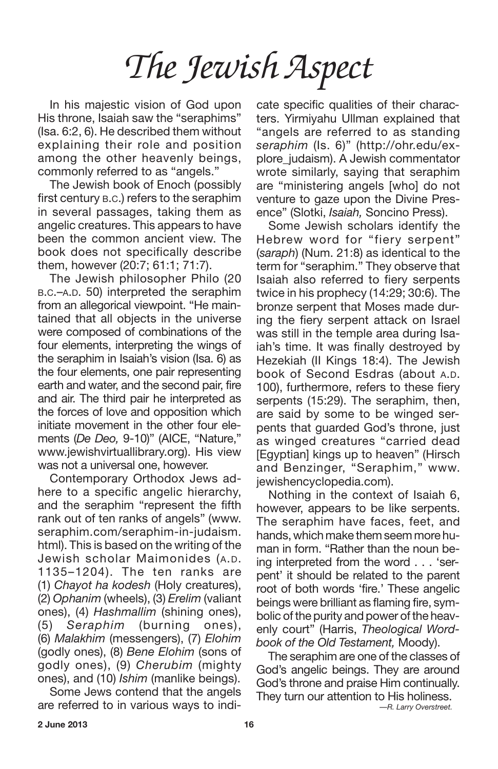In his majestic vision of God upon His throne, Isaiah saw the "seraphims" (Isa. 6:2, 6). He described them without explaining their role and position among the other heavenly beings, commonly referred to as "angels."

The Jewish book of Enoch (possibly first century B.C.) refers to the seraphim in several passages, taking them as angelic creatures. This appears to have been the common ancient view. The book does not specifically describe them, however (20:7; 61:1; 71:7).

The Jewish philosopher Philo (20 B.C.–A.D. 50) interpreted the seraphim from an allegorical viewpoint. "He maintained that all objects in the universe were composed of combinations of the four elements, interpreting the wings of the seraphim in Isaiah's vision (Isa. 6) as the four elements, one pair representing earth and water, and the second pair, fire and air. The third pair he interpreted as the forces of love and opposition which initiate movement in the other four elements (*De Deo,* 9-10)" (AICE, "Nature," www.jewishvirtuallibrary.org). His view was not a universal one, however.

Contemporary Orthodox Jews adhere to a specific angelic hierarchy, and the seraphim "represent the fifth rank out of ten ranks of angels" (www. seraphim.com/seraphim-in-judaism. html). This is based on the writing of the Jewish scholar Maimonides (A.D. 1135–1204). The ten ranks are (1) *Chayot ha kodesh* (Holy creatures), (2) *Ophanim* (wheels), (3) *Erelim* (valiant ones), (4) *Hashmallim* (shining ones), (5) *Seraphim* (burning ones), (6) *Malakhim* (messengers), (7) *Elohim* (godly ones), (8) *Bene Elohim* (sons of godly ones), (9) *Cherubim* (mighty ones), and (10) *Ishim* (manlike beings).

Some Jews contend that the angels are referred to in various ways to indicate specific qualities of their characters. Yirmiyahu Ullman explained that "angels are referred to as standing *seraphim* (Is. 6)" (http://ohr.edu/explore\_judaism). A Jewish commentator wrote similarly, saying that seraphim are "ministering angels [who] do not venture to gaze upon the Divine Presence" (Slotki, *Isaiah,* Soncino Press).

Some Jewish scholars identify the Hebrew word for "fiery serpent" (*saraph*) (Num. 21:8) as identical to the term for "seraphim." They observe that Isaiah also referred to fiery serpents twice in his prophecy (14:29; 30:6). The bronze serpent that Moses made during the fiery serpent attack on Israel was still in the temple area during Isaiah's time. It was finally destroyed by Hezekiah (II Kings 18:4). The Jewish book of Second Esdras (about A.D. 100), furthermore, refers to these fiery serpents (15:29). The seraphim, then, are said by some to be winged serpents that guarded God's throne, just as winged creatures "carried dead [Egyptian] kings up to heaven" (Hirsch and Benzinger, "Seraphim," www. jewishencyclopedia.com).

Nothing in the context of Isaiah 6, however, appears to be like serpents. The seraphim have faces, feet, and hands, which make them seem more human in form. "Rather than the noun being interpreted from the word . . . 'serpent' it should be related to the parent root of both words 'fire.' These angelic beings were brilliant as flaming fire, symbolic of the purity and power of the heavenly court" (Harris, *Theological Wordbook of the Old Testament,* Moody).

The seraphim are one of the classes of God's angelic beings. They are around God's throne and praise Him continually. They turn our attention to His holiness.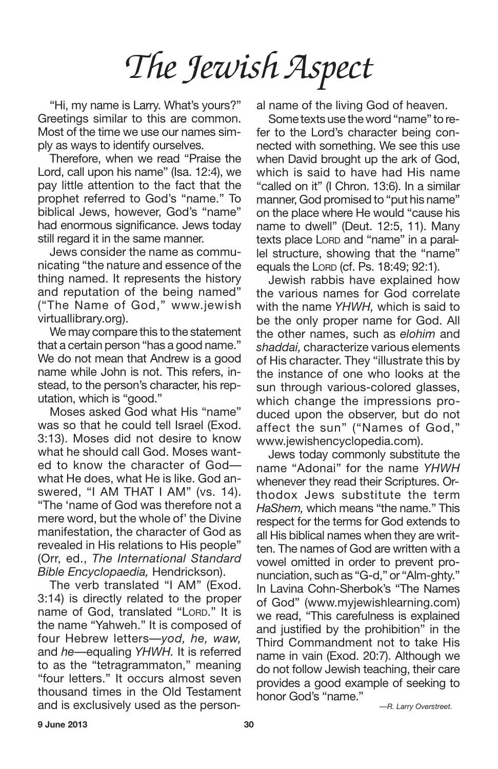"Hi, my name is Larry. What's yours?" Greetings similar to this are common. Most of the time we use our names simply as ways to identify ourselves.

Therefore, when we read "Praise the Lord, call upon his name" (Isa. 12:4), we pay little attention to the fact that the prophet referred to God's "name." To biblical Jews, however, God's "name" had enormous significance. Jews today still regard it in the same manner.

Jews consider the name as communicating "the nature and essence of the thing named. It represents the history and reputation of the being named" ("The Name of God," www.jewish virtuallibrary.org).

We may compare this to the statement that a certain person "has a good name." We do not mean that Andrew is a good name while John is not. This refers, instead, to the person's character, his reputation, which is "good."

Moses asked God what His "name" was so that he could tell Israel (Exod. 3:13). Moses did not desire to know what he should call God. Moses wanted to know the character of God what He does, what He is like. God answered, "I AM THAT I AM" (vs. 14). "The 'name of God was therefore not a mere word, but the whole of' the Divine manifestation, the character of God as revealed in His relations to His people" (Orr, ed., *The International Standard Bible Encyclopaedia,* Hendrickson).

The verb translated "I AM" (Exod. 3:14) is directly related to the proper name of God, translated "LORD." It is the name "Yahweh." It is composed of four Hebrew letters—*yod, he, waw,* and *he*—equaling *YHWH.* It is referred to as the "tetragrammaton," meaning "four letters." It occurs almost seven thousand times in the Old Testament and is exclusively used as the personal name of the living God of heaven.

Some texts use theword"name" to refer to the Lord's character being connected with something. We see this use when David brought up the ark of God, which is said to have had His name "called on it" (I Chron. 13:6). In a similar manner, God promised to "put his name" on the place where He would "cause his name to dwell" (Deut. 12:5, 11). Many texts place LORD and "name" in a parallel structure, showing that the "name" equals the LORD (cf. Ps. 18:49; 92:1).

Jewish rabbis have explained how the various names for God correlate with the name *YHWH,* which is said to be the only proper name for God. All the other names, such as *elohim* and *shaddai,* characterize various elements of His character. They "illustrate this by the instance of one who looks at the sun through various-colored glasses, which change the impressions produced upon the observer, but do not affect the sun" ("Names of God," www.jewishencyclopedia.com).

Jews today commonly substitute the name "Adonai" for the name *YHWH* whenever they read their Scriptures. Orthodox Jews substitute the term *HaShem,* which means "the name." This respect for the terms for God extends to all His biblical names when they are written. The names of God are written with a vowel omitted in order to prevent pronunciation, such as "G-d," or "Alm-ghty." In Lavina Cohn-Sherbok's "The Names of God" (www.myjewishlearning.com) we read, "This carefulness is explained and justified by the prohibition" in the Third Commandment not to take His name in vain (Exod. 20:7). Although we do not follow Jewish teaching, their care provides a good example of seeking to honor God's "name."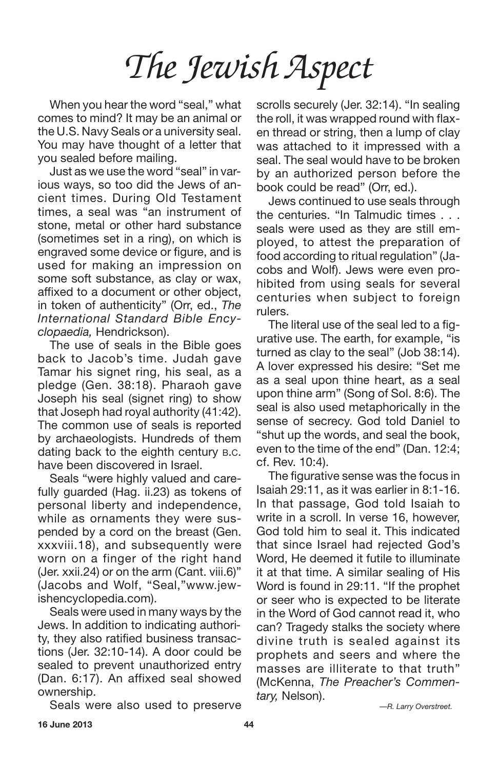When you hear the word "seal," what comes to mind? It may be an animal or the U.S. Navy Seals or a university seal. You may have thought of a letter that you sealed before mailing.

Just as we use the word "seal" in various ways, so too did the Jews of ancient times. During Old Testament times, a seal was "an instrument of stone, metal or other hard substance (sometimes set in a ring), on which is engraved some device or figure, and is used for making an impression on some soft substance, as clay or wax, affixed to a document or other object, in token of authenticity" (Orr, ed., *The International Standard Bible Encyclopaedia,* Hendrickson).

The use of seals in the Bible goes back to Jacob's time. Judah gave Tamar his signet ring, his seal, as a pledge (Gen. 38:18). Pharaoh gave Joseph his seal (signet ring) to show that Joseph had royal authority (41:42). The common use of seals is reported by archaeologists. Hundreds of them dating back to the eighth century B.C. have been discovered in Israel.

Seals "were highly valued and carefully guarded (Hag. ii.23) as tokens of personal liberty and independence, while as ornaments they were suspended by a cord on the breast (Gen. xxxviii.18), and subsequently were worn on a finger of the right hand (Jer. xxii.24) or on the arm (Cant. viii.6)" (Jacobs and Wolf, "Seal,"www.jewishencyclopedia.com).

Seals were used in many ways by the Jews. In addition to indicating authority, they also ratified business transactions (Jer. 32:10-14). A door could be sealed to prevent unauthorized entry (Dan. 6:17). An affixed seal showed ownership.

Seals were also used to preserve

scrolls securely (Jer. 32:14). "In sealing the roll, it was wrapped round with flaxen thread or string, then a lump of clay was attached to it impressed with a seal. The seal would have to be broken by an authorized person before the book could be read" (Orr, ed.).

Jews continued to use seals through the centuries. "In Talmudic times . . . seals were used as they are still employed, to attest the preparation of food according to ritual regulation" (Jacobs and Wolf). Jews were even prohibited from using seals for several centuries when subject to foreign rulers.

The literal use of the seal led to a figurative use. The earth, for example, "is turned as clay to the seal" (Job 38:14). A lover expressed his desire: "Set me as a seal upon thine heart, as a seal upon thine arm" (Song of Sol. 8:6). The seal is also used metaphorically in the sense of secrecy. God told Daniel to "shut up the words, and seal the book, even to the time of the end" (Dan. 12:4; cf. Rev. 10:4).

The figurative sense was the focus in Isaiah 29:11, as it was earlier in 8:1-16. In that passage, God told Isaiah to write in a scroll. In verse 16, however, God told him to seal it. This indicated that since Israel had rejected God's Word, He deemed it futile to illuminate it at that time. A similar sealing of His Word is found in 29:11. "If the prophet or seer who is expected to be literate in the Word of God cannot read it, who can? Tragedy stalks the society where divine truth is sealed against its prophets and seers and where the masses are illiterate to that truth" (McKenna, *The Preacher's Commentary,* Nelson).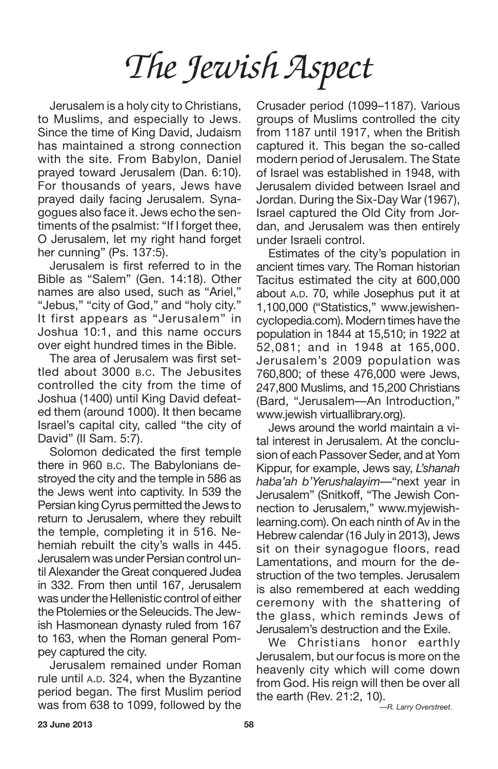Jerusalem is a holy city to Christians, to Muslims, and especially to Jews. Since the time of King David, Judaism has maintained a strong connection with the site. From Babylon, Daniel prayed toward Jerusalem (Dan. 6:10). For thousands of years, Jews have prayed daily facing Jerusalem. Synagogues also face it. Jews echo the sentiments of the psalmist: "If I forget thee, O Jerusalem, let my right hand forget her cunning" (Ps. 137:5).

Jerusalem is first referred to in the Bible as "Salem" (Gen. 14:18). Other names are also used, such as "Ariel," "Jebus," "city of God," and "holy city." It first appears as "Jerusalem" in Joshua 10:1, and this name occurs over eight hundred times in the Bible.

The area of Jerusalem was first settled about 3000 B.C. The Jebusites controlled the city from the time of Joshua (1400) until King David defeated them (around 1000). It then became Israel's capital city, called "the city of David" (II Sam. 5:7).

Solomon dedicated the first temple there in 960 B.C. The Babylonians destroyed the city and the temple in 586 as the Jews went into captivity. In 539 the Persian king Cyrus permitted the Jews to return to Jerusalem, where they rebuilt the temple, completing it in 516. Nehemiah rebuilt the city's walls in 445. Jerusalem was under Persian control until Alexander the Great conquered Judea in 332. From then until 167, Jerusalem was under the Hellenistic control of either the Ptolemies or the Seleucids. The Jewish Hasmonean dynasty ruled from 167 to 163, when the Roman general Pompey captured the city.

Jerusalem remained under Roman rule until A.D. 324, when the Byzantine period began. The first Muslim period was from 638 to 1099, followed by the

Crusader period (1099–1187). Various groups of Muslims controlled the city from 1187 until 1917, when the British captured it. This began the so-called modern period of Jerusalem. The State of Israel was established in 1948, with Jerusalem divided between Israel and Jordan. During the Six-Day War (1967), Israel captured the Old City from Jordan, and Jerusalem was then entirely under Israeli control.

Estimates of the city's population in ancient times vary. The Roman historian Tacitus estimated the city at 600,000 about A.D. 70, while Josephus put it at 1,100,000 ("Statistics," www.jewishencyclopedia.com). Modern times have the population in 1844 at 15,510; in 1922 at 52,081; and in 1948 at 165,000. Jerusalem's 2009 population was 760,800; of these 476,000 were Jews, 247,800 Muslims, and 15,200 Christians (Bard, "Jerusalem—An Introduction," www.jewish virtuallibrary.org).

Jews around the world maintain a vital interest in Jerusalem. At the conclusion of each Passover Seder, and at Yom Kippur, for example, Jews say, *L'shanah haba'ah b'Yerushalayim*—"next year in Jerusalem" (Snitkoff, "The Jewish Connection to Jerusalem," www.myjewishlearning.com). On each ninth of Av in the Hebrew calendar (16 July in 2013), Jews sit on their synagogue floors, read Lamentations, and mourn for the destruction of the two temples. Jerusalem is also remembered at each wedding ceremony with the shattering of the glass, which reminds Jews of Jerusalem's destruction and the Exile.

We Christians honor earthly Jerusalem, but our focus is more on the heavenly city which will come down from God. His reign will then be over all the earth (Rev. 21:2, 10).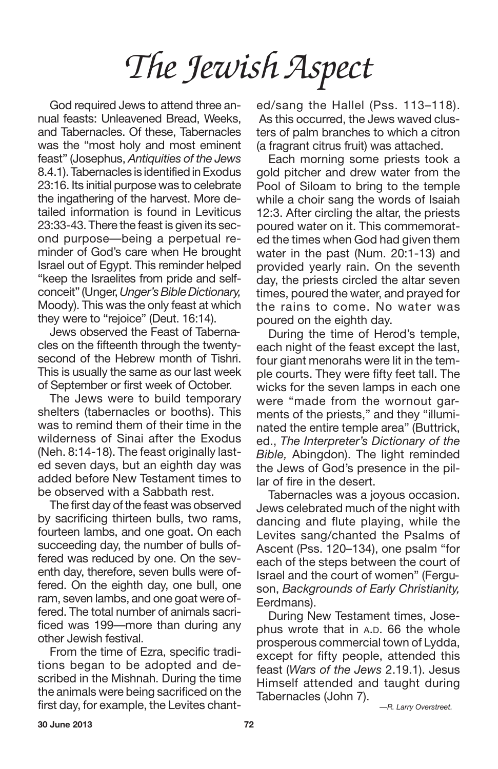God required Jews to attend three annual feasts: Unleavened Bread, Weeks, and Tabernacles. Of these, Tabernacles was the "most holy and most eminent feast" (Josephus, *Antiquities of the Jews* 8.4.1). Tabernacles is identified in Exodus 23:16. Its initial purpose was to celebrate the ingathering of the harvest. More detailed information is found in Leviticus 23:33-43. There the feast is given its second purpose—being a perpetual reminder of God's care when He brought Israel out of Egypt. This reminder helped "keep the Israelites from pride and selfconceit" (Unger,*Unger'sBible Dictionary,* Moody). This was the only feast at which they were to "rejoice" (Deut. 16:14).

Jews observed the Feast of Tabernacles on the fifteenth through the twentysecond of the Hebrew month of Tishri. This is usually the same as our last week of September or first week of October.

The Jews were to build temporary shelters (tabernacles or booths). This was to remind them of their time in the wilderness of Sinai after the Exodus (Neh. 8:14-18). The feast originally lasted seven days, but an eighth day was added before New Testament times to be observed with a Sabbath rest.

The first day of the feast was observed by sacrificing thirteen bulls, two rams, fourteen lambs, and one goat. On each succeeding day, the number of bulls offered was reduced by one. On the seventh day, therefore, seven bulls were offered. On the eighth day, one bull, one ram, seven lambs, and one goat were offered. The total number of animals sacrificed was 199—more than during any other Jewish festival.

From the time of Ezra, specific traditions began to be adopted and described in the Mishnah. During the time the animals were being sacrificed on the first day, for example, the Levites chanted/sang the Hallel (Pss. 113–118). As this occurred, the Jews waved clusters of palm branches to which a citron (a fragrant citrus fruit) was attached.

Each morning some priests took a gold pitcher and drew water from the Pool of Siloam to bring to the temple while a choir sang the words of Isaiah 12:3. After circling the altar, the priests poured water on it. This commemorated the times when God had given them water in the past (Num. 20:1-13) and provided yearly rain. On the seventh day, the priests circled the altar seven times, poured the water, and prayed for the rains to come. No water was poured on the eighth day.

During the time of Herod's temple, each night of the feast except the last, four giant menorahs were lit in the temple courts. They were fifty feet tall. The wicks for the seven lamps in each one were "made from the wornout garments of the priests," and they "illuminated the entire temple area" (Buttrick, ed., *The Interpreter's Dictionary of the Bible,* Abingdon). The light reminded the Jews of God's presence in the pillar of fire in the desert.

Tabernacles was a joyous occasion. Jews celebrated much of the night with dancing and flute playing, while the Levites sang/chanted the Psalms of Ascent (Pss. 120–134), one psalm "for each of the steps between the court of Israel and the court of women" (Ferguson, *Backgrounds of Early Christianity,* Eerdmans).

During New Testament times, Josephus wrote that in A.D. 66 the whole prosperous commercial town of Lydda, except for fifty people, attended this feast (*Wars of the Jews* 2.19.1). Jesus Himself attended and taught during Tabernacles (John 7).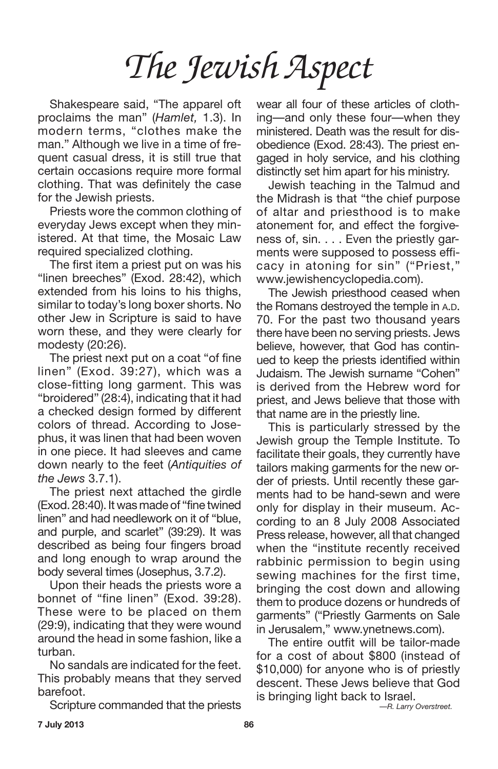Shakespeare said, "The apparel oft proclaims the man" (*Hamlet,* 1.3). In modern terms, "clothes make the man." Although we live in a time of frequent casual dress, it is still true that certain occasions require more formal clothing. That was definitely the case for the Jewish priests.

Priests wore the common clothing of everyday Jews except when they ministered. At that time, the Mosaic Law required specialized clothing.

The first item a priest put on was his "linen breeches" (Exod. 28:42), which extended from his loins to his thighs, similar to today's long boxer shorts. No other Jew in Scripture is said to have worn these, and they were clearly for modesty (20:26).

The priest next put on a coat "of fine linen" (Exod. 39:27), which was a close-fitting long garment. This was "broidered" (28:4), indicating that it had a checked design formed by different colors of thread. According to Josephus, it was linen that had been woven in one piece. It had sleeves and came down nearly to the feet (*Antiquities of the Jews* 3.7.1).

The priest next attached the girdle (Exod. 28:40). Itwas made of "fine twined linen" and had needlework on it of "blue, and purple, and scarlet" (39:29). It was described as being four fingers broad and long enough to wrap around the body several times (Josephus, 3.7.2).

Upon their heads the priests wore a bonnet of "fine linen" (Exod. 39:28). These were to be placed on them (29:9), indicating that they were wound around the head in some fashion, like a turban.

No sandals are indicated for the feet. This probably means that they served barefoot.

Scripture commanded that the priests

wear all four of these articles of clothing—and only these four—when they ministered. Death was the result for disobedience (Exod. 28:43). The priest engaged in holy service, and his clothing distinctly set him apart for his ministry.

Jewish teaching in the Talmud and the Midrash is that "the chief purpose of altar and priesthood is to make atonement for, and effect the forgiveness of, sin. . . . Even the priestly garments were supposed to possess efficacy in atoning for sin" ("Priest," www.jewishencyclopedia.com).

The Jewish priesthood ceased when the Romans destroyed the temple in A.D. 70. For the past two thousand years there have been no serving priests. Jews believe, however, that God has continued to keep the priests identified within Judaism. The Jewish surname "Cohen" is derived from the Hebrew word for priest, and Jews believe that those with that name are in the priestly line.

This is particularly stressed by the Jewish group the Temple Institute. To facilitate their goals, they currently have tailors making garments for the new order of priests. Until recently these garments had to be hand-sewn and were only for display in their museum. According to an 8 July 2008 Associated Press release, however, all that changed when the "institute recently received rabbinic permission to begin using sewing machines for the first time, bringing the cost down and allowing them to produce dozens or hundreds of garments" ("Priestly Garments on Sale in Jerusalem," www.ynetnews.com).

The entire outfit will be tailor-made for a cost of about \$800 (instead of \$10,000) for anyone who is of priestly descent. These Jews believe that God is bringing light back to Israel.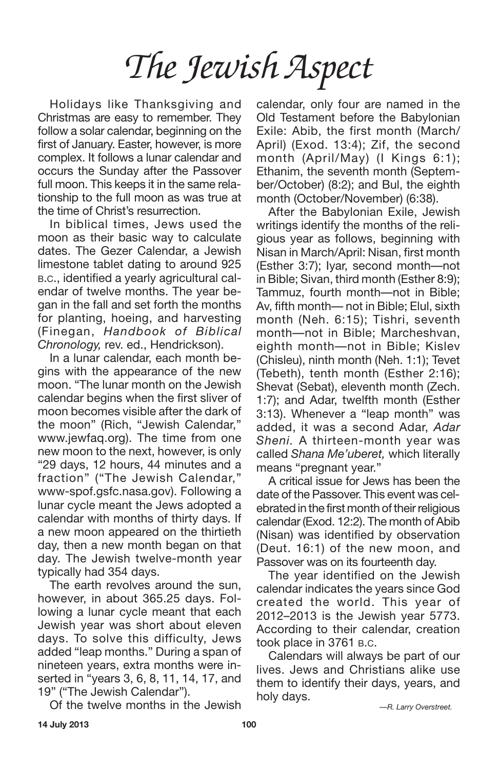Holidays like Thanksgiving and Christmas are easy to remember. They follow a solar calendar, beginning on the first of January. Easter, however, is more complex. It follows a lunar calendar and occurs the Sunday after the Passover full moon. This keeps it in the same relationship to the full moon as was true at the time of Christ's resurrection.

In biblical times, Jews used the moon as their basic way to calculate dates. The Gezer Calendar, a Jewish limestone tablet dating to around 925 B.C., identified a yearly agricultural calendar of twelve months. The year began in the fall and set forth the months for planting, hoeing, and harvesting (Finegan, *Handbook of Biblical Chronology,* rev. ed., Hendrickson).

In a lunar calendar, each month begins with the appearance of the new moon. "The lunar month on the Jewish calendar begins when the first sliver of moon becomes visible after the dark of the moon" (Rich, "Jewish Calendar," www.jewfaq.org). The time from one new moon to the next, however, is only "29 days, 12 hours, 44 minutes and a fraction" ("The Jewish Calendar," www-spof.gsfc.nasa.gov). Following a lunar cycle meant the Jews adopted a calendar with months of thirty days. If a new moon appeared on the thirtieth day, then a new month began on that day. The Jewish twelve-month year typically had 354 days.

The earth revolves around the sun, however, in about 365.25 days. Following a lunar cycle meant that each Jewish year was short about eleven days. To solve this difficulty, Jews added "leap months." During a span of nineteen years, extra months were inserted in "years 3, 6, 8, 11, 14, 17, and 19" ("The Jewish Calendar").

Of the twelve months in the Jewish

calendar, only four are named in the Old Testament before the Babylonian Exile: Abib, the first month (March/ April) (Exod. 13:4); Zif, the second month (April/May) (I Kings 6:1); Ethanim, the seventh month (September/October) (8:2); and Bul, the eighth month (October/November) (6:38).

After the Babylonian Exile, Jewish writings identify the months of the religious year as follows, beginning with Nisan in March/April: Nisan, first month (Esther 3:7); Iyar, second month—not in Bible; Sivan, third month (Esther 8:9); Tammuz, fourth month—not in Bible; Av, fifth month— not in Bible; Elul, sixth month (Neh. 6:15); Tishri, seventh month—not in Bible; Marcheshvan, eighth month—not in Bible; Kislev (Chisleu), ninth month (Neh. 1:1); Tevet (Tebeth), tenth month (Esther 2:16); Shevat (Sebat), eleventh month (Zech. 1:7); and Adar, twelfth month (Esther 3:13). Whenever a "leap month" was added, it was a second Adar, *Adar Sheni.* A thirteen-month year was called *Shana Me'uberet,* which literally means "pregnant year."

A critical issue for Jews has been the date of the Passover. This event was celebrated in the first month of their religious calendar (Exod. 12:2). The month of Abib (Nisan) was identified by observation (Deut. 16:1) of the new moon, and Passover was on its fourteenth day.

The year identified on the Jewish calendar indicates the years since God created the world. This year of 2012–2013 is the Jewish year 5773. According to their calendar, creation took place in 3761 B.C.

Calendars will always be part of our lives. Jews and Christians alike use them to identify their days, years, and holy days.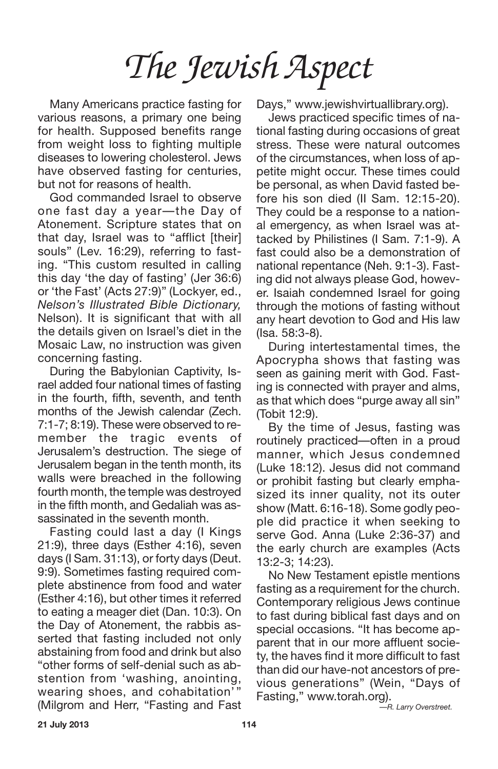Many Americans practice fasting for various reasons, a primary one being for health. Supposed benefits range from weight loss to fighting multiple diseases to lowering cholesterol. Jews have observed fasting for centuries, but not for reasons of health.

God commanded Israel to observe one fast day a year—the Day of Atonement. Scripture states that on that day, Israel was to "afflict [their] souls" (Lev. 16:29), referring to fasting. "This custom resulted in calling this day 'the day of fasting' (Jer 36:6) or 'the Fast' (Acts 27:9)" (Lockyer, ed., *Nelson's Illustrated Bible Dictionary,* Nelson). It is significant that with all the details given on Israel's diet in the Mosaic Law, no instruction was given concerning fasting.

During the Babylonian Captivity, Israel added four national times of fasting in the fourth, fifth, seventh, and tenth months of the Jewish calendar (Zech. 7:1-7; 8:19). These were observed to remember the tragic events of Jerusalem's destruction. The siege of Jerusalem began in the tenth month, its walls were breached in the following fourth month, the temple was destroyed in the fifth month, and Gedaliah was assassinated in the seventh month.

Fasting could last a day (I Kings 21:9), three days (Esther 4:16), seven days (I Sam. 31:13), or forty days (Deut. 9:9). Sometimes fasting required complete abstinence from food and water (Esther 4:16), but other times it referred to eating a meager diet (Dan. 10:3). On the Day of Atonement, the rabbis asserted that fasting included not only abstaining from food and drink but also "other forms of self-denial such as abstention from 'washing, anointing, wearing shoes, and cohabitation' " (Milgrom and Herr, "Fasting and Fast

Days," www.jewishvirtuallibrary.org).

Jews practiced specific times of national fasting during occasions of great stress. These were natural outcomes of the circumstances, when loss of appetite might occur. These times could be personal, as when David fasted before his son died (II Sam. 12:15-20). They could be a response to a national emergency, as when Israel was attacked by Philistines (I Sam. 7:1-9). A fast could also be a demonstration of national repentance (Neh. 9:1-3). Fasting did not always please God, however. Isaiah condemned Israel for going through the motions of fasting without any heart devotion to God and His law (Isa. 58:3-8).

During intertestamental times, the Apocrypha shows that fasting was seen as gaining merit with God. Fasting is connected with prayer and alms, as that which does "purge away all sin" (Tobit 12:9).

By the time of Jesus, fasting was routinely practiced—often in a proud manner, which Jesus condemned (Luke 18:12). Jesus did not command or prohibit fasting but clearly emphasized its inner quality, not its outer show (Matt. 6:16-18). Some godly people did practice it when seeking to serve God. Anna (Luke 2:36-37) and the early church are examples (Acts 13:2-3; 14:23).

No New Testament epistle mentions fasting as a requirement for the church. Contemporary religious Jews continue to fast during biblical fast days and on special occasions. "It has become apparent that in our more affluent society, the haves find it more difficult to fast than did our have-not ancestors of previous generations" (Wein, "Days of Fasting," www.torah.org).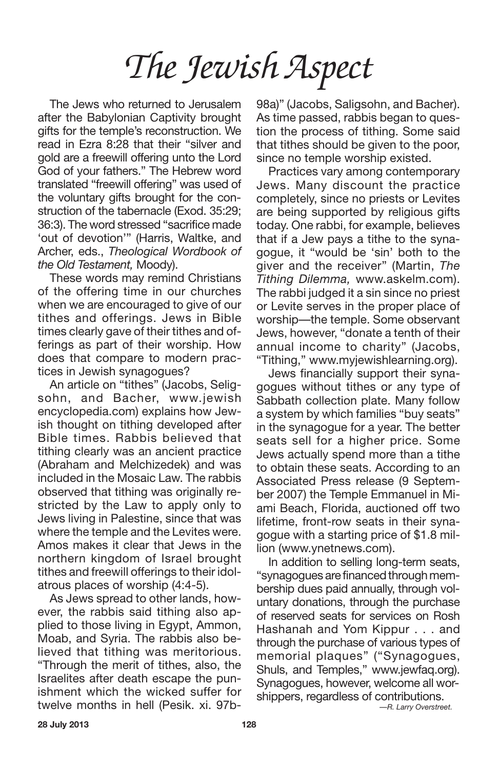The Jews who returned to Jerusalem after the Babylonian Captivity brought gifts for the temple's reconstruction. We read in Ezra 8:28 that their "silver and gold are a freewill offering unto the Lord God of your fathers." The Hebrew word translated "freewill offering" was used of the voluntary gifts brought for the construction of the tabernacle (Exod. 35:29; 36:3). The word stressed "sacrifice made 'out of devotion'" (Harris, Waltke, and Archer, eds., *Theological Wordbook of the Old Testament,* Moody).

These words may remind Christians of the offering time in our churches when we are encouraged to give of our tithes and offerings. Jews in Bible times clearly gave of their tithes and offerings as part of their worship. How does that compare to modern practices in Jewish synagogues?

An article on "tithes" (Jacobs, Seligsohn, and Bacher, www.jewish encyclopedia.com) explains how Jewish thought on tithing developed after Bible times. Rabbis believed that tithing clearly was an ancient practice (Abraham and Melchizedek) and was included in the Mosaic Law. The rabbis observed that tithing was originally restricted by the Law to apply only to Jews living in Palestine, since that was where the temple and the Levites were. Amos makes it clear that Jews in the northern kingdom of Israel brought tithes and freewill offerings to their idolatrous places of worship (4:4-5).

As Jews spread to other lands, however, the rabbis said tithing also applied to those living in Egypt, Ammon, Moab, and Syria. The rabbis also believed that tithing was meritorious. "Through the merit of tithes, also, the Israelites after death escape the punishment which the wicked suffer for twelve months in hell (Pesik. xi. 97b98a)" (Jacobs, Saligsohn, and Bacher). As time passed, rabbis began to question the process of tithing. Some said that tithes should be given to the poor, since no temple worship existed.

Practices vary among contemporary Jews. Many discount the practice completely, since no priests or Levites are being supported by religious gifts today. One rabbi, for example, believes that if a Jew pays a tithe to the synagogue, it "would be 'sin' both to the giver and the receiver" (Martin, *The Tithing Dilemma,* www.askelm.com). The rabbi judged it a sin since no priest or Levite serves in the proper place of worship—the temple. Some observant Jews, however, "donate a tenth of their annual income to charity" (Jacobs, "Tithing," www.myjewishlearning.org).

Jews financially support their synagogues without tithes or any type of Sabbath collection plate. Many follow a system by which families "buy seats" in the synagogue for a year. The better seats sell for a higher price. Some Jews actually spend more than a tithe to obtain these seats. According to an Associated Press release (9 September 2007) the Temple Emmanuel in Miami Beach, Florida, auctioned off two lifetime, front-row seats in their synagogue with a starting price of \$1.8 million (www.ynetnews.com).

In addition to selling long-term seats, "synagogues are financed through membership dues paid annually, through voluntary donations, through the purchase of reserved seats for services on Rosh Hashanah and Yom Kippur . . . and through the purchase of various types of memorial plaques" ("Synagogues, Shuls, and Temples," www.jewfaq.org). Synagogues, however, welcome all worshippers, regardless of contributions.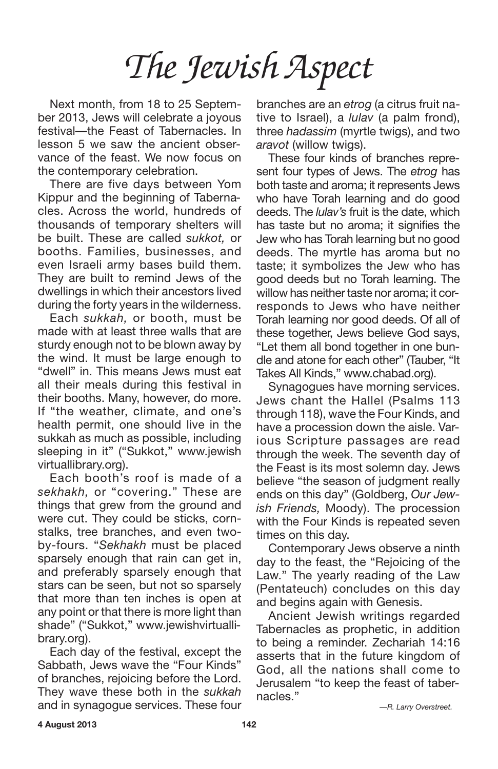Next month, from 18 to 25 September 2013, Jews will celebrate a joyous festival—the Feast of Tabernacles. In lesson 5 we saw the ancient observance of the feast. We now focus on the contemporary celebration.

There are five days between Yom Kippur and the beginning of Tabernacles. Across the world, hundreds of thousands of temporary shelters will be built. These are called *sukkot,* or booths. Families, businesses, and even Israeli army bases build them. They are built to remind Jews of the dwellings in which their ancestors lived during the forty years in the wilderness.

Each *sukkah,* or booth, must be made with at least three walls that are sturdy enough not to be blown away by the wind. It must be large enough to "dwell" in. This means Jews must eat all their meals during this festival in their booths. Many, however, do more. If "the weather, climate, and one's health permit, one should live in the sukkah as much as possible, including sleeping in it" ("Sukkot," www.jewish virtuallibrary.org).

Each booth's roof is made of a *sekhakh,* or "covering." These are things that grew from the ground and were cut. They could be sticks, cornstalks, tree branches, and even twoby-fours. "*Sekhakh* must be placed sparsely enough that rain can get in, and preferably sparsely enough that stars can be seen, but not so sparsely that more than ten inches is open at any point or that there is more light than shade" ("Sukkot," www.jewishvirtuallibrary.org).

Each day of the festival, except the Sabbath, Jews wave the "Four Kinds" of branches, rejoicing before the Lord. They wave these both in the *sukkah* and in synagogue services. These four

branches are an *etrog* (a citrus fruit native to Israel), a *lulav* (a palm frond), three *hadassim* (myrtle twigs), and two *aravot* (willow twigs).

These four kinds of branches represent four types of Jews. The *etrog* has both taste and aroma; it represents Jews who have Torah learning and do good deeds. The *lulav's* fruit is the date, which has taste but no aroma; it signifies the Jew who has Torah learning but no good deeds. The myrtle has aroma but no taste; it symbolizes the Jew who has good deeds but no Torah learning. The willow has neither taste nor aroma; it corresponds to Jews who have neither Torah learning nor good deeds. Of all of these together, Jews believe God says, "Let them all bond together in one bundle and atone for each other" (Tauber, "It Takes All Kinds," www.chabad.org).

Synagogues have morning services. Jews chant the Hallel (Psalms 113 through 118), wave the Four Kinds, and have a procession down the aisle. Various Scripture passages are read through the week. The seventh day of the Feast is its most solemn day. Jews believe "the season of judgment really ends on this day" (Goldberg, *Our Jewish Friends,* Moody). The procession with the Four Kinds is repeated seven times on this day.

Contemporary Jews observe a ninth day to the feast, the "Rejoicing of the Law." The yearly reading of the Law (Pentateuch) concludes on this day and begins again with Genesis.

Ancient Jewish writings regarded Tabernacles as prophetic, in addition to being a reminder. Zechariah 14:16 asserts that in the future kingdom of God, all the nations shall come to Jerusalem "to keep the feast of tabernacles."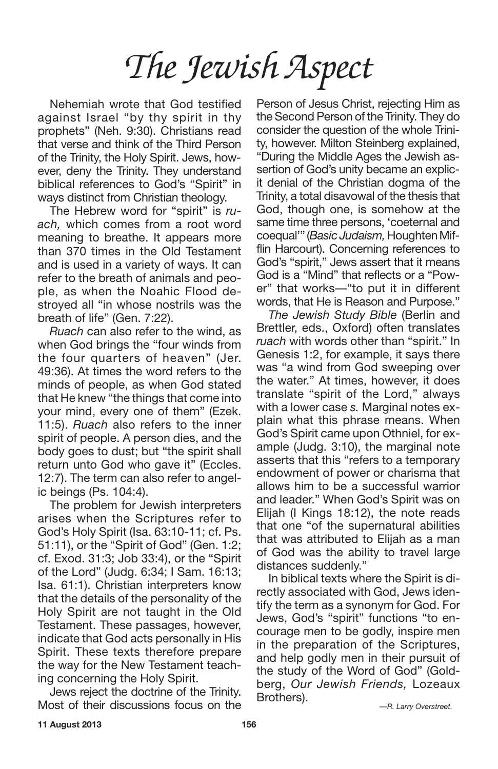Nehemiah wrote that God testified against Israel "by thy spirit in thy prophets" (Neh. 9:30). Christians read that verse and think of the Third Person of the Trinity, the Holy Spirit. Jews, however, deny the Trinity. They understand biblical references to God's "Spirit" in ways distinct from Christian theology.

The Hebrew word for "spirit" is *ruach,* which comes from a root word meaning to breathe. It appears more than 370 times in the Old Testament and is used in a variety of ways. It can refer to the breath of animals and people, as when the Noahic Flood destroyed all "in whose nostrils was the breath of life" (Gen. 7:22).

*Ruach* can also refer to the wind, as when God brings the "four winds from the four quarters of heaven" (Jer. 49:36). At times the word refers to the minds of people, as when God stated that He knew "the things that come into your mind, every one of them" (Ezek. 11:5). *Ruach* also refers to the inner spirit of people. A person dies, and the body goes to dust; but "the spirit shall return unto God who gave it" (Eccles. 12:7). The term can also refer to angelic beings (Ps. 104:4).

The problem for Jewish interpreters arises when the Scriptures refer to God's Holy Spirit (Isa. 63:10-11; cf. Ps. 51:11), or the "Spirit of God" (Gen. 1:2; cf. Exod. 31:3; Job 33:4), or the "Spirit of the Lord" (Judg. 6:34; I Sam. 16:13; Isa. 61:1). Christian interpreters know that the details of the personality of the Holy Spirit are not taught in the Old Testament. These passages, however, indicate that God acts personally in His Spirit. These texts therefore prepare the way for the New Testament teaching concerning the Holy Spirit.

Jews reject the doctrine of the Trinity. Most of their discussions focus on the Person of Jesus Christ, rejecting Him as the Second Person of the Trinity. They do consider the question of the whole Trinity, however. Milton Steinberg explained, "During the Middle Ages the Jewish assertion of God's unity became an explicit denial of the Christian dogma of the Trinity, a total disavowal of the thesis that God, though one, is somehow at the same time three persons, 'coeternal and coequal" (Basic Judaism, Houghten Mifflin Harcourt). Concerning references to God's "spirit," Jews assert that it means God is a "Mind" that reflects or a "Power" that works—"to put it in different words, that He is Reason and Purpose."

*The Jewish Study Bible* (Berlin and Brettler, eds., Oxford) often translates *ruach* with words other than "spirit." In Genesis 1:2, for example, it says there was "a wind from God sweeping over the water." At times, however, it does translate "spirit of the Lord," always with a lower case *s.* Marginal notes explain what this phrase means. When God's Spirit came upon Othniel, for example (Judg. 3:10), the marginal note asserts that this "refers to a temporary endowment of power or charisma that allows him to be a successful warrior and leader." When God's Spirit was on Elijah (I Kings 18:12), the note reads that one "of the supernatural abilities that was attributed to Elijah as a man of God was the ability to travel large distances suddenly."

In biblical texts where the Spirit is directly associated with God, Jews identify the term as a synonym for God. For Jews, God's "spirit" functions "to encourage men to be godly, inspire men in the preparation of the Scriptures, and help godly men in their pursuit of the study of the Word of God" (Goldberg, *Our Jewish Friends,* Lozeaux Brothers). *—R. Larry Overstreet.*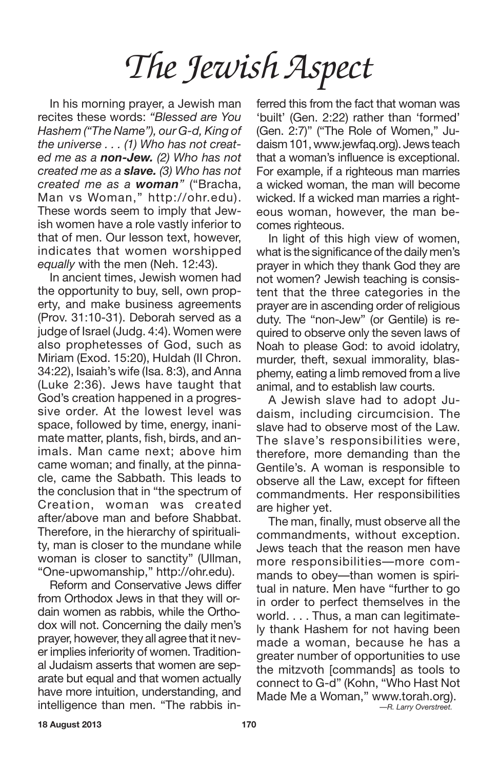In his morning prayer, a Jewish man recites these words: *"Blessed are You Hashem ("The Name"), our G-d, King of the universe . . . (1) Who has not created me as a non-Jew. (2) Who has not created me as a slave. (3) Who has not created me as a woman"* ("Bracha, Man vs Woman," http://ohr.edu). These words seem to imply that Jewish women have a role vastly inferior to that of men. Our lesson text, however, indicates that women worshipped *equally* with the men (Neh. 12:43).

In ancient times, Jewish women had the opportunity to buy, sell, own property, and make business agreements (Prov. 31:10-31). Deborah served as a judge of Israel (Judg. 4:4). Women were also prophetesses of God, such as Miriam (Exod. 15:20), Huldah (II Chron. 34:22), Isaiah's wife (Isa. 8:3), and Anna (Luke 2:36). Jews have taught that God's creation happened in a progressive order. At the lowest level was space, followed by time, energy, inanimate matter, plants, fish, birds, and animals. Man came next; above him came woman; and finally, at the pinnacle, came the Sabbath. This leads to the conclusion that in "the spectrum of Creation, woman was created after/above man and before Shabbat. Therefore, in the hierarchy of spirituality, man is closer to the mundane while woman is closer to sanctity" (Ullman, "One-upwomanship," http://ohr.edu).

Reform and Conservative Jews differ from Orthodox Jews in that they will ordain women as rabbis, while the Orthodox will not. Concerning the daily men's prayer, however, they all agree that it never implies inferiority of women. Traditional Judaism asserts that women are separate but equal and that women actually have more intuition, understanding, and intelligence than men. "The rabbis inferred this from the fact that woman was 'built' (Gen. 2:22) rather than 'formed' (Gen. 2:7)" ("The Role of Women," Judaism101,www.jewfaq.org). Jews teach that a woman's influence is exceptional. For example, if a righteous man marries a wicked woman, the man will become wicked. If a wicked man marries a righteous woman, however, the man becomes righteous.

In light of this high view of women, what is the significance of the daily men's prayer in which they thank God they are not women? Jewish teaching is consistent that the three categories in the prayer are in ascending order of religious duty. The "non-Jew" (or Gentile) is required to observe only the seven laws of Noah to please God: to avoid idolatry, murder, theft, sexual immorality, blasphemy, eating a limb removed from a live animal, and to establish law courts.

A Jewish slave had to adopt Judaism, including circumcision. The slave had to observe most of the Law. The slave's responsibilities were, therefore, more demanding than the Gentile's. A woman is responsible to observe all the Law, except for fifteen commandments. Her responsibilities are higher yet.

The man, finally, must observe all the commandments, without exception. Jews teach that the reason men have more responsibilities—more commands to obey—than women is spiritual in nature. Men have "further to go in order to perfect themselves in the world. . . . Thus, a man can legitimately thank Hashem for not having been made a woman, because he has a greater number of opportunities to use the mitzvoth [commands] as tools to connect to G-d" (Kohn, "Who Hast Not Made Me a Woman," www.torah.org). *—R. Larry Overstreet.*

**18 August 2013 170**